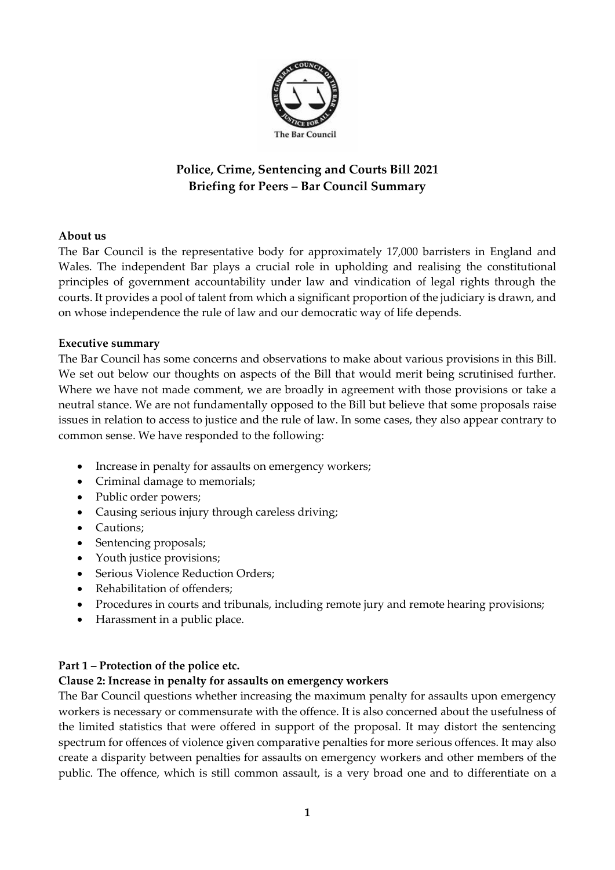

# **Police, Crime, Sentencing and Courts Bill 2021 Briefing for Peers – Bar Council Summary**

## **About us**

The Bar Council is the representative body for approximately 17,000 barristers in England and Wales. The independent Bar plays a crucial role in upholding and realising the constitutional principles of government accountability under law and vindication of legal rights through the courts. It provides a pool of talent from which a significant proportion of the judiciary is drawn, and on whose independence the rule of law and our democratic way of life depends.

## **Executive summary**

The Bar Council has some concerns and observations to make about various provisions in this Bill. We set out below our thoughts on aspects of the Bill that would merit being scrutinised further. Where we have not made comment, we are broadly in agreement with those provisions or take a neutral stance. We are not fundamentally opposed to the Bill but believe that some proposals raise issues in relation to access to justice and the rule of law. In some cases, they also appear contrary to common sense. We have responded to the following:

- Increase in penalty for assaults on emergency workers;
- Criminal damage to memorials;
- Public order powers;
- Causing serious injury through careless driving;
- Cautions;
- Sentencing proposals;
- Youth justice provisions;
- Serious Violence Reduction Orders:
- Rehabilitation of offenders:
- Procedures in courts and tribunals, including remote jury and remote hearing provisions;
- Harassment in a public place.

## **Part 1 – Protection of the police etc.**

## **Clause 2: Increase in penalty for assaults on emergency workers**

The Bar Council questions whether increasing the maximum penalty for assaults upon emergency workers is necessary or commensurate with the offence. It is also concerned about the usefulness of the limited statistics that were offered in support of the proposal. It may distort the sentencing spectrum for offences of violence given comparative penalties for more serious offences. It may also create a disparity between penalties for assaults on emergency workers and other members of the public. The offence, which is still common assault, is a very broad one and to differentiate on a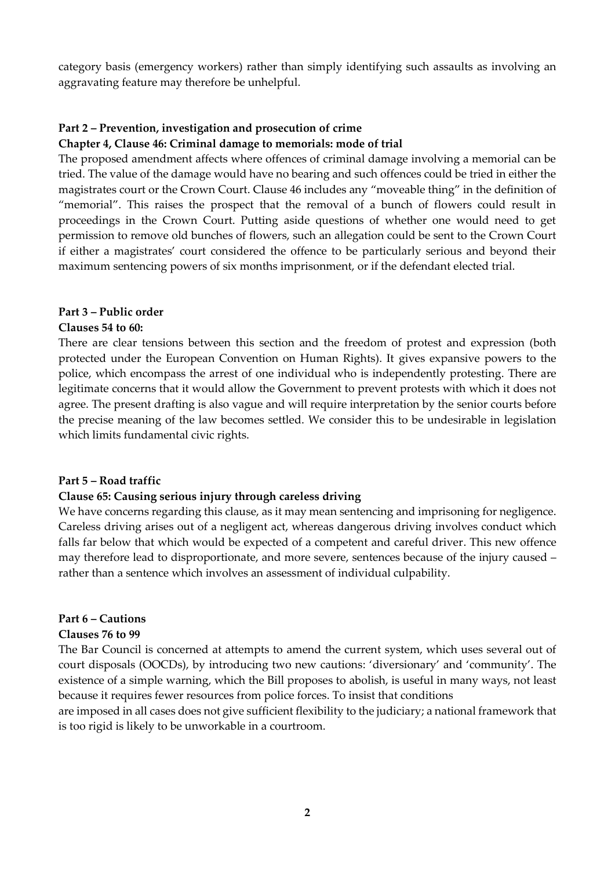category basis (emergency workers) rather than simply identifying such assaults as involving an aggravating feature may therefore be unhelpful.

# **Part 2 – Prevention, investigation and prosecution of crime**

## **Chapter 4, Clause 46: Criminal damage to memorials: mode of trial**

The proposed amendment affects where offences of criminal damage involving a memorial can be tried. The value of the damage would have no bearing and such offences could be tried in either the magistrates court or the Crown Court. Clause 46 includes any "moveable thing" in the definition of "memorial". This raises the prospect that the removal of a bunch of flowers could result in proceedings in the Crown Court. Putting aside questions of whether one would need to get permission to remove old bunches of flowers, such an allegation could be sent to the Crown Court if either a magistrates' court considered the offence to be particularly serious and beyond their maximum sentencing powers of six months imprisonment, or if the defendant elected trial.

## **Part 3 – Public order**

#### **Clauses 54 to 60:**

There are clear tensions between this section and the freedom of protest and expression (both protected under the European Convention on Human Rights). It gives expansive powers to the police, which encompass the arrest of one individual who is independently protesting. There are legitimate concerns that it would allow the Government to prevent protests with which it does not agree. The present drafting is also vague and will require interpretation by the senior courts before the precise meaning of the law becomes settled. We consider this to be undesirable in legislation which limits fundamental civic rights.

#### **Part 5 – Road traffic**

#### **Clause 65: Causing serious injury through careless driving**

We have concerns regarding this clause, as it may mean sentencing and imprisoning for negligence. Careless driving arises out of a negligent act, whereas dangerous driving involves conduct which falls far below that which would be expected of a competent and careful driver. This new offence may therefore lead to disproportionate, and more severe, sentences because of the injury caused – rather than a sentence which involves an assessment of individual culpability.

#### **Part 6 – Cautions**

#### **Clauses 76 to 99**

The Bar Council is concerned at attempts to amend the current system, which uses several out of court disposals (OOCDs), by introducing two new cautions: 'diversionary' and 'community'. The existence of a simple warning, which the Bill proposes to abolish, is useful in many ways, not least because it requires fewer resources from police forces. To insist that conditions

are imposed in all cases does not give sufficient flexibility to the judiciary; a national framework that is too rigid is likely to be unworkable in a courtroom.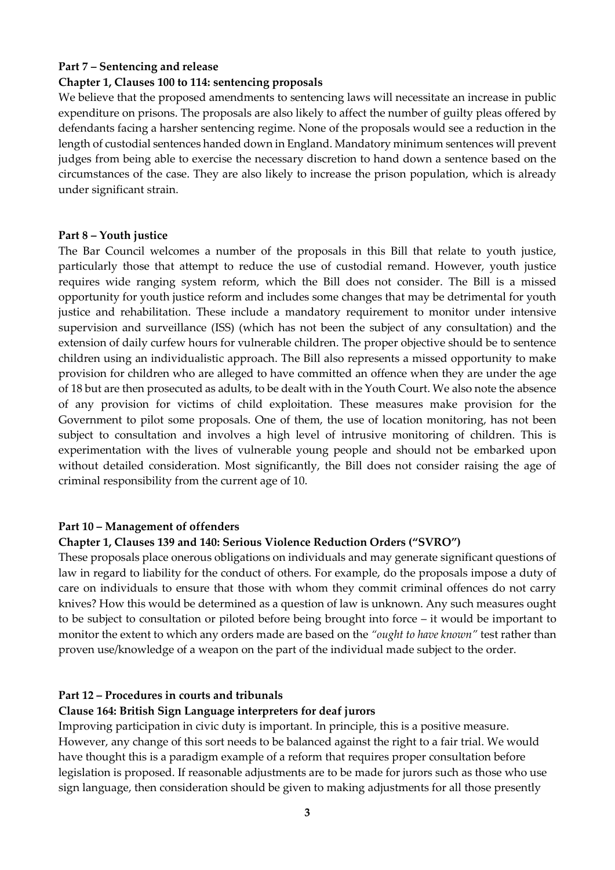#### **Part 7 – Sentencing and release**

#### **Chapter 1, Clauses 100 to 114: sentencing proposals**

We believe that the proposed amendments to sentencing laws will necessitate an increase in public expenditure on prisons. The proposals are also likely to affect the number of guilty pleas offered by defendants facing a harsher sentencing regime. None of the proposals would see a reduction in the length of custodial sentences handed down in England. Mandatory minimum sentences will prevent judges from being able to exercise the necessary discretion to hand down a sentence based on the circumstances of the case. They are also likely to increase the prison population, which is already under significant strain.

#### **Part 8 – Youth justice**

The Bar Council welcomes a number of the proposals in this Bill that relate to youth justice, particularly those that attempt to reduce the use of custodial remand. However, youth justice requires wide ranging system reform, which the Bill does not consider. The Bill is a missed opportunity for youth justice reform and includes some changes that may be detrimental for youth justice and rehabilitation. These include a mandatory requirement to monitor under intensive supervision and surveillance (ISS) (which has not been the subject of any consultation) and the extension of daily curfew hours for vulnerable children. The proper objective should be to sentence children using an individualistic approach. The Bill also represents a missed opportunity to make provision for children who are alleged to have committed an offence when they are under the age of 18 but are then prosecuted as adults, to be dealt with in the Youth Court. We also note the absence of any provision for victims of child exploitation. These measures make provision for the Government to pilot some proposals. One of them, the use of location monitoring, has not been subject to consultation and involves a high level of intrusive monitoring of children. This is experimentation with the lives of vulnerable young people and should not be embarked upon without detailed consideration. Most significantly, the Bill does not consider raising the age of criminal responsibility from the current age of 10.

#### **Part 10 – Management of offenders**

#### **Chapter 1, Clauses 139 and 140: Serious Violence Reduction Orders ("SVRO")**

These proposals place onerous obligations on individuals and may generate significant questions of law in regard to liability for the conduct of others. For example, do the proposals impose a duty of care on individuals to ensure that those with whom they commit criminal offences do not carry knives? How this would be determined as a question of law is unknown. Any such measures ought to be subject to consultation or piloted before being brought into force – it would be important to monitor the extent to which any orders made are based on the *"ought to have known"* test rather than proven use/knowledge of a weapon on the part of the individual made subject to the order.

#### **Part 12 – Procedures in courts and tribunals**

#### **Clause 164: British Sign Language interpreters for deaf jurors**

Improving participation in civic duty is important. In principle, this is a positive measure. However, any change of this sort needs to be balanced against the right to a fair trial. We would have thought this is a paradigm example of a reform that requires proper consultation before legislation is proposed. If reasonable adjustments are to be made for jurors such as those who use sign language, then consideration should be given to making adjustments for all those presently